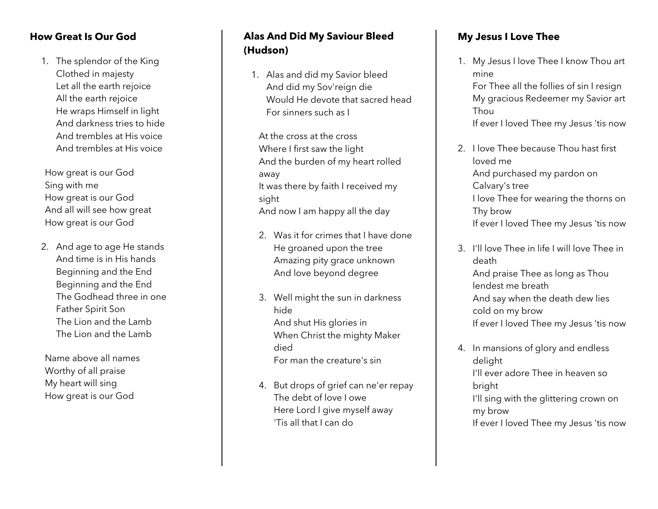#### **How Great Is Our God**

1. The splendor of the King Clothed in majesty Let all the earth rejoice All the earth rejoice He wraps Himself in light And darkness tries to hide And trembles at His voice And trembles at His voice

How great is our God Sing with me How great is our God And all will see how great How great is our God

2. And age to age He stands And time is in His hands Beginning and the End Beginning and the End The Godhead three in one Father Spirit Son The Lion and the Lamb The Lion and the Lamb

Name above all names Worthy of all praise My heart will sing How great is our God

# **Alas And Did My Saviour Bleed (Hudson)**

1. Alas and did my Savior bleed And did my Sov'reign die Would He devote that sacred head For sinners such as I

At the cross at the cross Where I first saw the light And the burden of my heart rolled away It was there by faith I received my sight And now I am happy all the day

- 2. Was it for crimes that I have done He groaned upon the tree Amazing pity grace unknown And love beyond degree
- 3. Well might the sun in darkness hide And shut His glories in When Christ the mighty Maker died For man the creature's sin
- 4. But drops of grief can ne'er repay The debt of love I owe Here Lord I give myself away 'Tis all that I can do

### **My Jesus I Love Thee**

1. My Jesus I love Thee I know Thou art mine

For Thee all the follies of sin I resign My gracious Redeemer my Savior art Thou If ever I loved Thee my Jesus 'tis now

- 2. I love Thee because Thou hast first loved me And purchased my pardon on Calvary's tree I love Thee for wearing the thorns on Thy brow If ever I loved Thee my Jesus 'tis now
- 3. I'll love Thee in life I will love Thee in death And praise Thee as long as Thou lendest me breath And say when the death dew lies cold on my brow If ever I loved Thee my Jesus 'tis now
- 4. In mansions of glory and endless delight I'll ever adore Thee in heaven so bright I'll sing with the glittering crown on my brow If ever I loved Thee my Jesus 'tis now